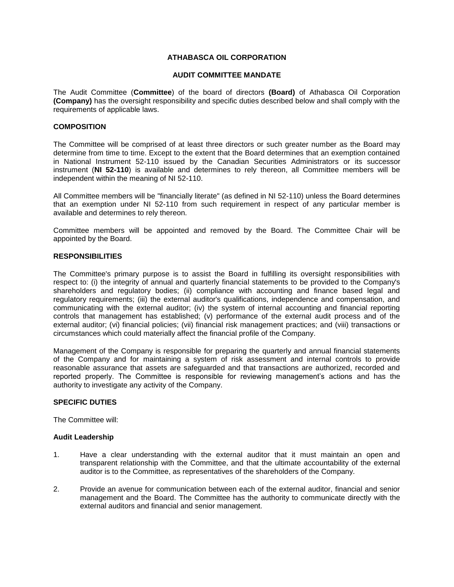# **ATHABASCA OIL CORPORATION**

## **AUDIT COMMITTEE MANDATE**

The Audit Committee (**Committee**) of the board of directors **(Board)** of Athabasca Oil Corporation **(Company)** has the oversight responsibility and specific duties described below and shall comply with the requirements of applicable laws.

## **COMPOSITION**

The Committee will be comprised of at least three directors or such greater number as the Board may determine from time to time. Except to the extent that the Board determines that an exemption contained in National Instrument 52-110 issued by the Canadian Securities Administrators or its successor instrument (**NI 52-110**) is available and determines to rely thereon, all Committee members will be independent within the meaning of NI 52-110.

All Committee members will be "financially literate" (as defined in NI 52-110) unless the Board determines that an exemption under NI 52-110 from such requirement in respect of any particular member is available and determines to rely thereon.

Committee members will be appointed and removed by the Board. The Committee Chair will be appointed by the Board.

## **RESPONSIBILITIES**

The Committee's primary purpose is to assist the Board in fulfilling its oversight responsibilities with respect to: (i) the integrity of annual and quarterly financial statements to be provided to the Company's shareholders and regulatory bodies; (ii) compliance with accounting and finance based legal and regulatory requirements; (iii) the external auditor's qualifications, independence and compensation, and communicating with the external auditor; (iv) the system of internal accounting and financial reporting controls that management has established; (v) performance of the external audit process and of the external auditor; (vi) financial policies; (vii) financial risk management practices; and (viii) transactions or circumstances which could materially affect the financial profile of the Company.

Management of the Company is responsible for preparing the quarterly and annual financial statements of the Company and for maintaining a system of risk assessment and internal controls to provide reasonable assurance that assets are safeguarded and that transactions are authorized, recorded and reported properly. The Committee is responsible for reviewing management's actions and has the authority to investigate any activity of the Company.

## **SPECIFIC DUTIES**

The Committee will:

#### **Audit Leadership**

- 1. Have a clear understanding with the external auditor that it must maintain an open and transparent relationship with the Committee, and that the ultimate accountability of the external auditor is to the Committee, as representatives of the shareholders of the Company.
- 2. Provide an avenue for communication between each of the external auditor, financial and senior management and the Board. The Committee has the authority to communicate directly with the external auditors and financial and senior management.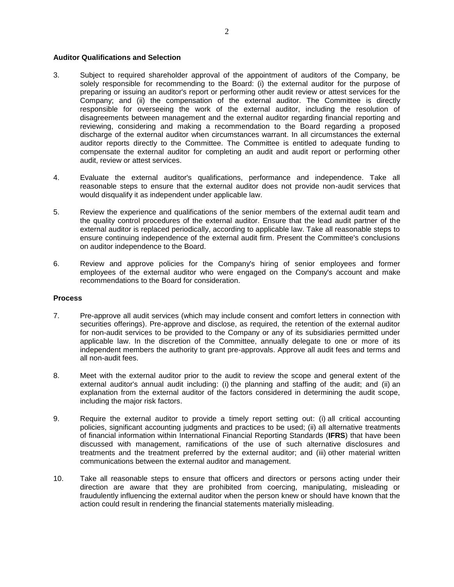## **Auditor Qualifications and Selection**

- 3. Subject to required shareholder approval of the appointment of auditors of the Company, be solely responsible for recommending to the Board: (i) the external auditor for the purpose of preparing or issuing an auditor's report or performing other audit review or attest services for the Company; and (ii) the compensation of the external auditor. The Committee is directly responsible for overseeing the work of the external auditor, including the resolution of disagreements between management and the external auditor regarding financial reporting and reviewing, considering and making a recommendation to the Board regarding a proposed discharge of the external auditor when circumstances warrant. In all circumstances the external auditor reports directly to the Committee. The Committee is entitled to adequate funding to compensate the external auditor for completing an audit and audit report or performing other audit, review or attest services.
- 4. Evaluate the external auditor's qualifications, performance and independence. Take all reasonable steps to ensure that the external auditor does not provide non-audit services that would disqualify it as independent under applicable law.
- 5. Review the experience and qualifications of the senior members of the external audit team and the quality control procedures of the external auditor. Ensure that the lead audit partner of the external auditor is replaced periodically, according to applicable law. Take all reasonable steps to ensure continuing independence of the external audit firm. Present the Committee's conclusions on auditor independence to the Board.
- 6. Review and approve policies for the Company's hiring of senior employees and former employees of the external auditor who were engaged on the Company's account and make recommendations to the Board for consideration.

#### **Process**

- 7. Pre-approve all audit services (which may include consent and comfort letters in connection with securities offerings). Pre-approve and disclose, as required, the retention of the external auditor for non-audit services to be provided to the Company or any of its subsidiaries permitted under applicable law. In the discretion of the Committee, annually delegate to one or more of its independent members the authority to grant pre-approvals. Approve all audit fees and terms and all non-audit fees.
- 8. Meet with the external auditor prior to the audit to review the scope and general extent of the external auditor's annual audit including: (i) the planning and staffing of the audit; and (ii) an explanation from the external auditor of the factors considered in determining the audit scope, including the major risk factors.
- 9. Require the external auditor to provide a timely report setting out: (i) all critical accounting policies, significant accounting judgments and practices to be used; (ii) all alternative treatments of financial information within International Financial Reporting Standards (**IFRS**) that have been discussed with management, ramifications of the use of such alternative disclosures and treatments and the treatment preferred by the external auditor; and (iii) other material written communications between the external auditor and management.
- 10. Take all reasonable steps to ensure that officers and directors or persons acting under their direction are aware that they are prohibited from coercing, manipulating, misleading or fraudulently influencing the external auditor when the person knew or should have known that the action could result in rendering the financial statements materially misleading.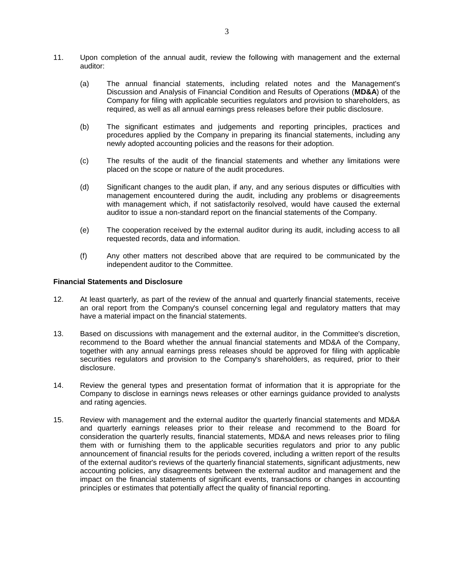- 11. Upon completion of the annual audit, review the following with management and the external auditor:
	- (a) The annual financial statements, including related notes and the Management's Discussion and Analysis of Financial Condition and Results of Operations (**MD&A**) of the Company for filing with applicable securities regulators and provision to shareholders, as required, as well as all annual earnings press releases before their public disclosure.
	- (b) The significant estimates and judgements and reporting principles, practices and procedures applied by the Company in preparing its financial statements, including any newly adopted accounting policies and the reasons for their adoption.
	- (c) The results of the audit of the financial statements and whether any limitations were placed on the scope or nature of the audit procedures.
	- (d) Significant changes to the audit plan, if any, and any serious disputes or difficulties with management encountered during the audit, including any problems or disagreements with management which, if not satisfactorily resolved, would have caused the external auditor to issue a non-standard report on the financial statements of the Company.
	- (e) The cooperation received by the external auditor during its audit, including access to all requested records, data and information.
	- (f) Any other matters not described above that are required to be communicated by the independent auditor to the Committee.

## **Financial Statements and Disclosure**

- 12. At least quarterly, as part of the review of the annual and quarterly financial statements, receive an oral report from the Company's counsel concerning legal and regulatory matters that may have a material impact on the financial statements.
- 13. Based on discussions with management and the external auditor, in the Committee's discretion, recommend to the Board whether the annual financial statements and MD&A of the Company, together with any annual earnings press releases should be approved for filing with applicable securities regulators and provision to the Company's shareholders, as required, prior to their disclosure.
- 14. Review the general types and presentation format of information that it is appropriate for the Company to disclose in earnings news releases or other earnings guidance provided to analysts and rating agencies.
- 15. Review with management and the external auditor the quarterly financial statements and MD&A and quarterly earnings releases prior to their release and recommend to the Board for consideration the quarterly results, financial statements, MD&A and news releases prior to filing them with or furnishing them to the applicable securities regulators and prior to any public announcement of financial results for the periods covered, including a written report of the results of the external auditor's reviews of the quarterly financial statements, significant adjustments, new accounting policies, any disagreements between the external auditor and management and the impact on the financial statements of significant events, transactions or changes in accounting principles or estimates that potentially affect the quality of financial reporting.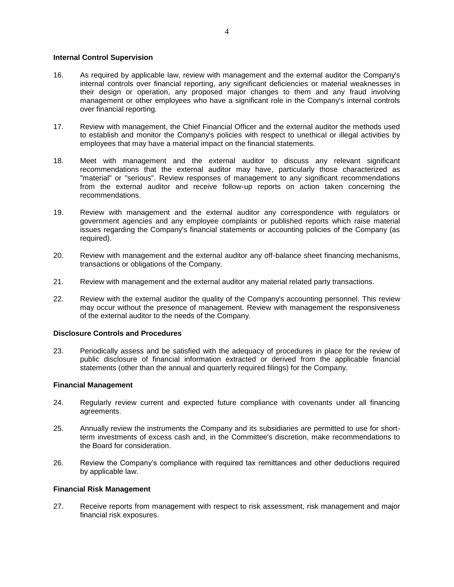## **Internal Control Supervision**

- 16. As required by applicable law, review with management and the external auditor the Company's internal controls over financial reporting, any significant deficiencies or material weaknesses in their design or operation, any proposed major changes to them and any fraud involving management or other employees who have a significant role in the Company's internal controls over financial reporting.
- 17. Review with management, the Chief Financial Officer and the external auditor the methods used to establish and monitor the Company's policies with respect to unethical or illegal activities by employees that may have a material impact on the financial statements.
- 18. Meet with management and the external auditor to discuss any relevant significant recommendations that the external auditor may have, particularly those characterized as "material" or "serious". Review responses of management to any significant recommendations from the external auditor and receive follow-up reports on action taken concerning the recommendations.
- 19. Review with management and the external auditor any correspondence with regulators or government agencies and any employee complaints or published reports which raise material issues regarding the Company's financial statements or accounting policies of the Company (as required).
- 20. Review with management and the external auditor any off-balance sheet financing mechanisms, transactions or obligations of the Company.
- 21. Review with management and the external auditor any material related party transactions.
- 22. Review with the external auditor the quality of the Company's accounting personnel. This review may occur without the presence of management. Review with management the responsiveness of the external auditor to the needs of the Company.

#### **Disclosure Controls and Procedures**

23. Periodically assess and be satisfied with the adequacy of procedures in place for the review of public disclosure of financial information extracted or derived from the applicable financial statements (other than the annual and quarterly required filings) for the Company.

#### **Financial Management**

- 24. Regularly review current and expected future compliance with covenants under all financing agreements.
- 25. Annually review the instruments the Company and its subsidiaries are permitted to use for shortterm investments of excess cash and, in the Committee's discretion, make recommendations to the Board for consideration.
- 26. Review the Company's compliance with required tax remittances and other deductions required by applicable law.

## **Financial Risk Management**

27. Receive reports from management with respect to risk assessment, risk management and major financial risk exposures.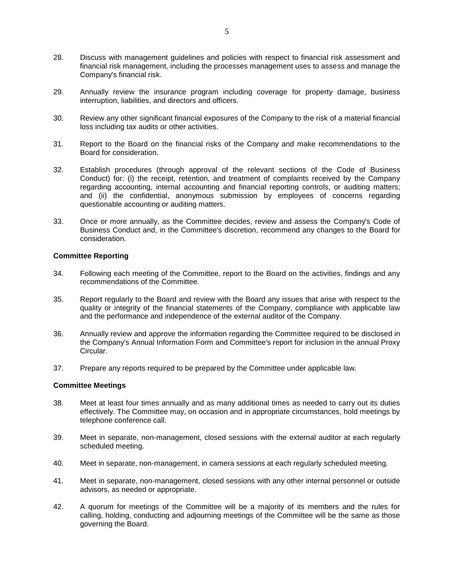- 28. Discuss with management guidelines and policies with respect to financial risk assessment and financial risk management, including the processes management uses to assess and manage the Company's financial risk.
- 29. Annually review the insurance program including coverage for property damage, business interruption, liabilities, and directors and officers.
- 30. Review any other significant financial exposures of the Company to the risk of a material financial loss including tax audits or other activities.
- 31. Report to the Board on the financial risks of the Company and make recommendations to the Board for consideration.
- 32. Establish procedures (through approval of the relevant sections of the Code of Business Conduct) for: (i) the receipt, retention, and treatment of complaints received by the Company regarding accounting, internal accounting and financial reporting controls, or auditing matters; and (ii) the confidential, anonymous submission by employees of concerns regarding questionable accounting or auditing matters.
- 33. Once or more annually, as the Committee decides, review and assess the Company's Code of Business Conduct and, in the Committee's discretion, recommend any changes to the Board for consideration.

## **Committee Reporting**

- 34. Following each meeting of the Committee, report to the Board on the activities, findings and any recommendations of the Committee.
- 35. Report regularly to the Board and review with the Board any issues that arise with respect to the quality or integrity of the financial statements of the Company, compliance with applicable law and the performance and independence of the external auditor of the Company.
- 36. Annually review and approve the information regarding the Committee required to be disclosed in the Company's Annual Information Form and Committee's report for inclusion in the annual Proxy Circular.
- 37. Prepare any reports required to be prepared by the Committee under applicable law.

#### **Committee Meetings**

- 38. Meet at least four times annually and as many additional times as needed to carry out its duties effectively. The Committee may, on occasion and in appropriate circumstances, hold meetings by telephone conference call.
- 39. Meet in separate, non-management, closed sessions with the external auditor at each regularly scheduled meeting.
- 40. Meet in separate, non-management, in camera sessions at each regularly scheduled meeting.
- 41. Meet in separate, non-management, closed sessions with any other internal personnel or outside advisors, as needed or appropriate.
- 42. A quorum for meetings of the Committee will be a majority of its members and the rules for calling, holding, conducting and adjourning meetings of the Committee will be the same as those governing the Board.